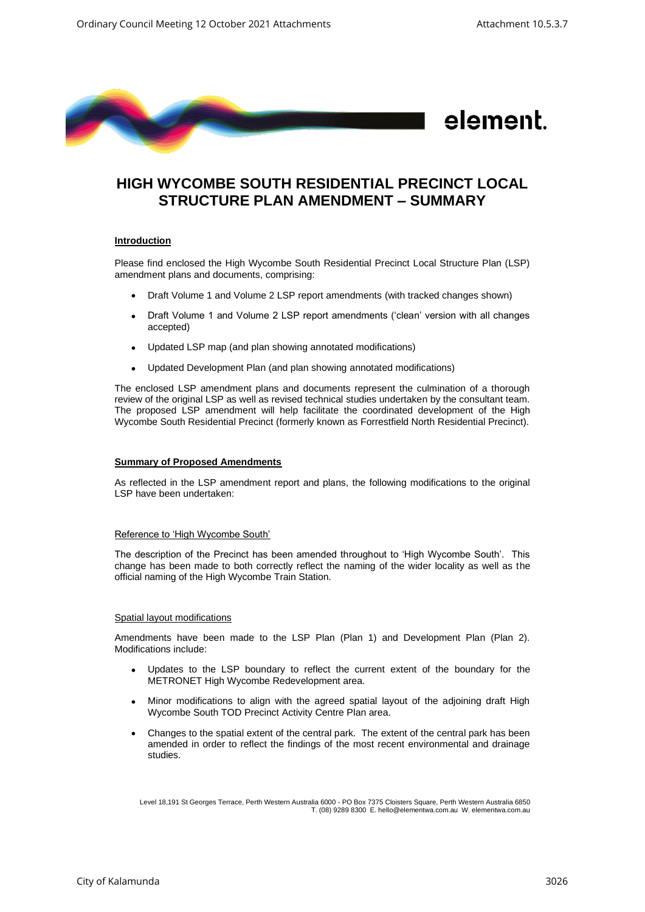

# **HIGH WYCOMBE SOUTH RESIDENTIAL PRECINCT LOCAL STRUCTURE PLAN AMENDMENT – SUMMARY**

## **Introduction**

Please find enclosed the High Wycombe South Residential Precinct Local Structure Plan (LSP) amendment plans and documents, comprising:

- Draft Volume 1 and Volume 2 LSP report amendments (with tracked changes shown)
- Draft Volume 1 and Volume 2 LSP report amendments ('clean' version with all changes accepted)
- Updated LSP map (and plan showing annotated modifications)
- Updated Development Plan (and plan showing annotated modifications)

The enclosed LSP amendment plans and documents represent the culmination of a thorough review of the original LSP as well as revised technical studies undertaken by the consultant team. The proposed LSP amendment will help facilitate the coordinated development of the High Wycombe South Residential Precinct (formerly known as Forrestfield North Residential Precinct).

## **Summary of Proposed Amendments**

As reflected in the LSP amendment report and plans, the following modifications to the original LSP have been undertaken:

## Reference to 'High Wycombe South'

The description of the Precinct has been amended throughout to 'High Wycombe South'. This change has been made to both correctly reflect the naming of the wider locality as well as the official naming of the High Wycombe Train Station.

#### Spatial layout modifications

Amendments have been made to the LSP Plan (Plan 1) and Development Plan (Plan 2). Modifications include:

- Updates to the LSP boundary to reflect the current extent of the boundary for the METRONET High Wycombe Redevelopment area.
- Minor modifications to align with the agreed spatial layout of the adjoining draft High Wycombe South TOD Precinct Activity Centre Plan area.
- Changes to the spatial extent of the central park. The extent of the central park has been amended in order to reflect the findings of the most recent environmental and drainage studies.

Level 18,191 St Georges Terrace, Perth Western Australia 6000 - PO Box 7375 Cloisters Square, Perth Western Australia 6850 T. (08) 9289 8300 E. hello@elementwa.com.au W. elementwa.com.au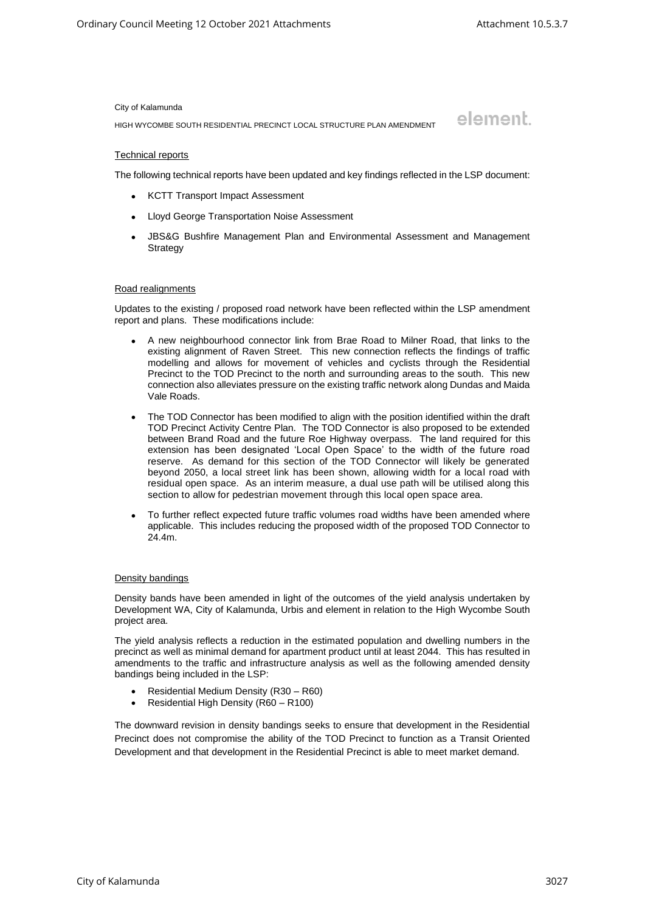element.

#### City of Kalamunda

HIGH WYCOMBE SOUTH RESIDENTIAL PRECINCT LOCAL STRUCTURE PLAN AMENDMENT

#### Technical reports

The following technical reports have been updated and key findings reflected in the LSP document:

- KCTT Transport Impact Assessment
- Lloyd George Transportation Noise Assessment
- JBS&G Bushfire Management Plan and Environmental Assessment and Management **Strategy**

#### Road realignments

Updates to the existing / proposed road network have been reflected within the LSP amendment report and plans. These modifications include:

- A new neighbourhood connector link from Brae Road to Milner Road, that links to the existing alignment of Raven Street. This new connection reflects the findings of traffic modelling and allows for movement of vehicles and cyclists through the Residential Precinct to the TOD Precinct to the north and surrounding areas to the south. This new connection also alleviates pressure on the existing traffic network along Dundas and Maida Vale Roads.
- The TOD Connector has been modified to align with the position identified within the draft TOD Precinct Activity Centre Plan. The TOD Connector is also proposed to be extended between Brand Road and the future Roe Highway overpass. The land required for this extension has been designated 'Local Open Space' to the width of the future road reserve. As demand for this section of the TOD Connector will likely be generated beyond 2050, a local street link has been shown, allowing width for a local road with residual open space. As an interim measure, a dual use path will be utilised along this section to allow for pedestrian movement through this local open space area.
- To further reflect expected future traffic volumes road widths have been amended where applicable. This includes reducing the proposed width of the proposed TOD Connector to 24.4m.

## Density bandings

Density bands have been amended in light of the outcomes of the yield analysis undertaken by Development WA, City of Kalamunda, Urbis and element in relation to the High Wycombe South project area.

The yield analysis reflects a reduction in the estimated population and dwelling numbers in the precinct as well as minimal demand for apartment product until at least 2044. This has resulted in amendments to the traffic and infrastructure analysis as well as the following amended density bandings being included in the LSP:

- Residential Medium Density (R30 R60)
- Residential High Density (R60 R100)

The downward revision in density bandings seeks to ensure that development in the Residential Precinct does not compromise the ability of the TOD Precinct to function as a Transit Oriented Development and that development in the Residential Precinct is able to meet market demand.